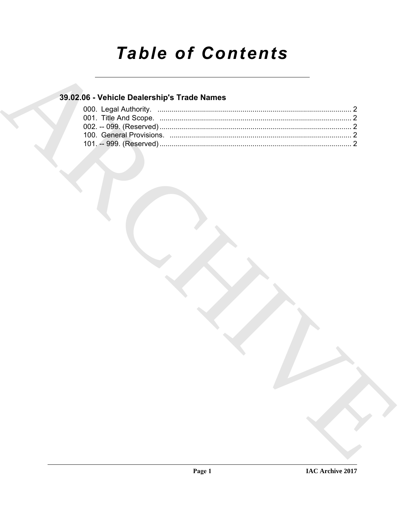# **Table of Contents**

### 39.02.06 - Vehicle Dealership's Trade Names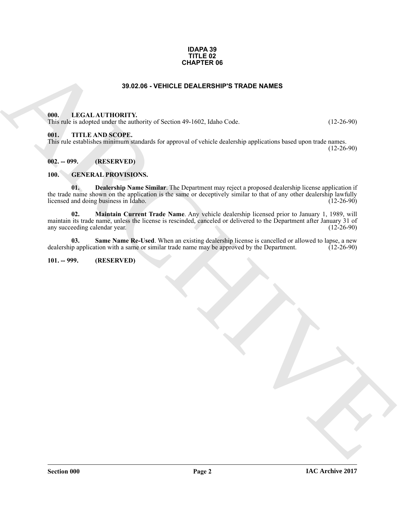#### **IDAPA 39 TITLE 02 CHAPTER 06**

#### **39.02.06 - VEHICLE DEALERSHIP'S TRADE NAMES**

#### <span id="page-1-1"></span><span id="page-1-0"></span>**000. LEGAL AUTHORITY.**

This rule is adopted under the authority of Section 49-1602, Idaho Code. (12-26-90)

#### <span id="page-1-2"></span>**001. TITLE AND SCOPE.**

This rule establishes minimum standards for approval of vehicle dealership applications based upon trade names. (12-26-90)

<span id="page-1-3"></span>**002. -- 099. (RESERVED)**

#### <span id="page-1-6"></span><span id="page-1-4"></span>**100. GENERAL PROVISIONS.**

<span id="page-1-8"></span><span id="page-1-7"></span>**01. Dealership Name Similar**. The Department may reject a proposed dealership license application if the trade name shown on the application is the same or deceptively similar to that of any other dealership lawfully<br>licensed and doing business in Idaho. (12-26-90) licensed and doing business in Idaho.

**CHAPTER 05**<br> **ARCHIVE OF CHALERSHIPS TRADE NAMES**<br> **ARCHIVE OF CHALERSHIPS TRADE NAMES**<br> **ARCHIVE OF CHALERSHIPS TRADE RAMES**<br> **ARCHIVE OF CHALERSHIPS TRADE RAMES**<br> **ARCHIVE OF CHARCHIPS CONTROL**<br> **ARCHIVE OF CHARCHIPS C 02. Maintain Current Trade Name**. Any vehicle dealership licensed prior to January 1, 1989, will maintain its trade name, unless the license is rescinded, canceled or delivered to the Department after January 31 of any succeeding calendar year. (12-26-90) any succeeding calendar year.

<span id="page-1-9"></span>**03. Same Name Re-Used**. When an existing dealership license is cancelled or allowed to lapse, a new p application with a same or similar trade name may be approved by the Department. (12-26-90) dealership application with a same or similar trade name may be approved by the Department.

#### <span id="page-1-5"></span>**101. -- 999. (RESERVED)**